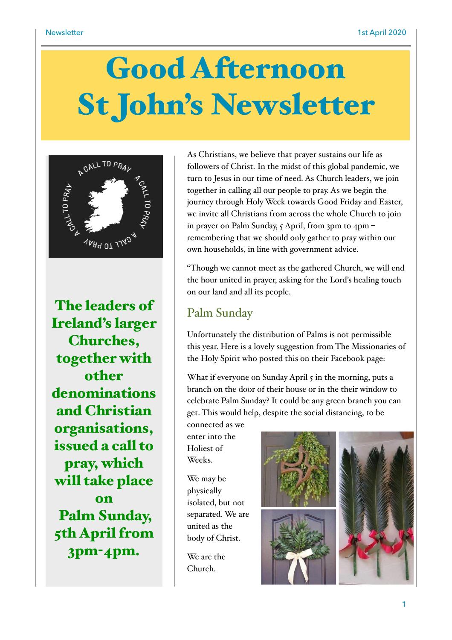# Good Afternoon St John's Newsletter



The leaders of Ireland's larger Churches, together with other denominations and Christian organisations, issued a call to pray, which will take place on Palm Sunday, 5th April from 3pm-4pm.

As Christians, we believe that prayer sustains our life as followers of Christ. In the midst of this global pandemic, we turn to Jesus in our time of need. As Church leaders, we join together in calling all our people to pray. As we begin the journey through Holy Week towards Good Friday and Easter, we invite all Christians from across the whole Church to join in prayer on Palm Sunday, 5 April, from 3pm to 4pm – remembering that we should only gather to pray within our own households, in line with government advice.

"Though we cannot meet as the gathered Church, we will end the hour united in prayer, asking for the Lord's healing touch on our land and all its people.

### Palm Sunday

Unfortunately the distribution of Palms is not permissible this year. Here is a lovely suggestion from The Missionaries of the Holy Spirit who posted this on their Facebook page:

What if everyone on Sunday April 5 in the morning, puts a branch on the door of their house or in the their window to celebrate Palm Sunday? It could be any green branch you can get. This would help, despite the social distancing, to be connected as we

enter into the Holiest of Weeks.

We may be physically isolated, but not separated. We are united as the body of Christ.

We are the Church.